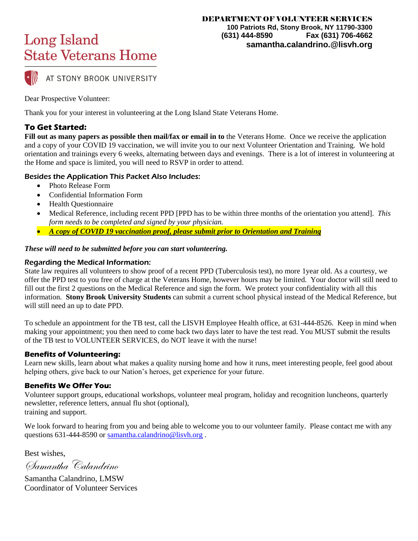AT STONY BROOK UNIVERSITY

Dear Prospective Volunteer:

Thank you for your interest in volunteering at the Long Island State Veterans Home.

### **To Get Started:**

**Fill out as many papers as possible then mail/fax or email in to** the Veterans Home. Once we receive the application and a copy of your COVID 19 vaccination, we will invite you to our next Volunteer Orientation and Training. We hold orientation and trainings every 6 weeks, alternating between days and evenings. There is a lot of interest in volunteering at the Home and space is limited, you will need to RSVP in order to attend.

#### Besides the Application This Packet Also Includes:

- Photo Release Form
- Confidential Information Form
- Health Questionnaire
- Medical Reference, including recent PPD [PPD has to be within three months of the orientation you attend]. *This form needs to be completed and signed by your physician.*
- *A copy of COVID 19 vaccination proof, please submit prior to Orientation and Training*

#### *These will need to be submitted before you can start volunteering.*

#### Regarding the Medical Information:

State law requires all volunteers to show proof of a recent PPD (Tuberculosis test), no more 1year old. As a courtesy, we offer the PPD test to you free of charge at the Veterans Home, however hours may be limited. Your doctor will still need to fill out the first 2 questions on the Medical Reference and sign the form. We protect your confidentiality with all this information. **Stony Brook University Students** can submit a current school physical instead of the Medical Reference, but will still need an up to date PPD.

To schedule an appointment for the TB test, call the LISVH Employee Health office, at 631-444-8526. Keep in mind when making your appointment; you then need to come back two days later to have the test read. You MUST submit the results of the TB test to VOLUNTEER SERVICES, do NOT leave it with the nurse!

### **Benefits of Volunteering:**

Learn new skills, learn about what makes a quality nursing home and how it runs, meet interesting people, feel good about helping others, give back to our Nation's heroes, get experience for your future.

#### **Benefits We Offer You:**

Volunteer support groups, educational workshops, volunteer meal program, holiday and recognition luncheons, quarterly newsletter, reference letters, annual flu shot (optional), training and support.

We look forward to hearing from you and being able to welcome you to our volunteer family. Please contact me with any questions 631-444-8590 or [samantha.calandrino@lisvh.org](mailto:samantha.calandrino@lisvh.org) .

Best wishes,

Samantha Calandrino

Samantha Calandrino, LMSW Coordinator of Volunteer Services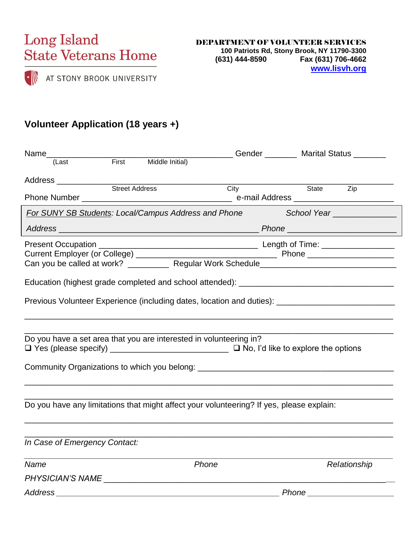

# **Volunteer Application (18 years +)**

|                                                                    |  |                                                                                          | ___________________________Gender ___________ Marital Status _________                              |
|--------------------------------------------------------------------|--|------------------------------------------------------------------------------------------|-----------------------------------------------------------------------------------------------------|
|                                                                    |  |                                                                                          |                                                                                                     |
|                                                                    |  |                                                                                          |                                                                                                     |
|                                                                    |  | City                                                                                     | State Zip                                                                                           |
|                                                                    |  |                                                                                          | For SUNY SB Students: Local/Campus Address and Phone School Year                                    |
|                                                                    |  |                                                                                          |                                                                                                     |
|                                                                    |  |                                                                                          | Can you be called at work? ___________ Regular Work Schedule_____________________                   |
|                                                                    |  |                                                                                          |                                                                                                     |
|                                                                    |  |                                                                                          | Previous Volunteer Experience (including dates, location and duties): _____________________________ |
| Do you have a set area that you are interested in volunteering in? |  |                                                                                          | Community Organizations to which you belong: ___________________________________                    |
|                                                                    |  | Do you have any limitations that might affect your volunteering? If yes, please explain: |                                                                                                     |
| In Case of Emergency Contact:                                      |  |                                                                                          |                                                                                                     |
| Name                                                               |  | Phone                                                                                    | Relationship                                                                                        |
| PHYSICIAN'S NAME                                                   |  |                                                                                          |                                                                                                     |

*Address \_\_\_\_\_\_\_\_\_\_\_\_\_\_\_\_\_\_\_\_\_\_\_\_\_\_\_\_\_\_\_\_\_\_\_\_\_\_\_\_\_\_\_\_\_\_\_\_\_ Phone \_\_\_\_\_\_\_\_\_\_\_\_\_\_\_\_\_\_\_*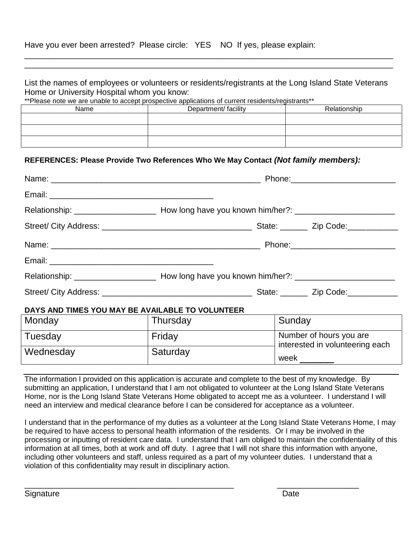| Have you ever been arrested? Please circle: YES NO If yes, please explain: |  |  |
|----------------------------------------------------------------------------|--|--|
|----------------------------------------------------------------------------|--|--|

List the names of employees or volunteers or residents/registrants at the Long Island State Veterans Home or University Hospital whom you know:

\_\_\_\_\_\_\_\_\_\_\_\_\_\_\_\_\_\_\_\_\_\_\_\_\_\_\_\_\_\_\_\_\_\_\_\_\_\_\_\_\_\_\_\_\_\_\_\_\_\_\_\_\_\_\_\_\_\_\_\_\_\_\_\_\_\_\_\_\_\_\_\_\_\_\_\_\_\_\_\_\_ \_\_\_\_\_\_\_\_\_\_\_\_\_\_\_\_\_\_\_\_\_\_\_\_\_\_\_\_\_\_\_\_\_\_\_\_\_\_\_\_\_\_\_\_\_\_\_\_\_\_\_\_\_\_\_\_\_\_\_\_\_\_\_\_\_\_\_\_\_\_\_\_\_\_\_\_\_\_\_\_\_

\*\*Please note we are unable to accept prospective applications of current residents/registrants\*\*

| Name | Department/ facility | Relationship |
|------|----------------------|--------------|
|      |                      |              |
|      |                      |              |
|      |                      |              |

#### **REFERENCES: Please Provide Two References Who We May Contact** *(Not family members):*

| Name: Name: Name: Name: Name: Name: Name: Name: Name: Name: Name: Name: Name: Name: Name: Name: Name: Name: Name: Name: Name: Name: Name: Name: Name: Name: Name: Name: Name: Name: Name: Name: Name: Name: Name: Name: Name: |          |                                                            |
|-------------------------------------------------------------------------------------------------------------------------------------------------------------------------------------------------------------------------------|----------|------------------------------------------------------------|
|                                                                                                                                                                                                                               |          |                                                            |
|                                                                                                                                                                                                                               |          |                                                            |
|                                                                                                                                                                                                                               |          |                                                            |
|                                                                                                                                                                                                                               |          |                                                            |
|                                                                                                                                                                                                                               |          |                                                            |
|                                                                                                                                                                                                                               |          |                                                            |
|                                                                                                                                                                                                                               |          |                                                            |
| DAYS AND TIMES YOU MAY BE AVAILABLE TO VOLUNTEER                                                                                                                                                                              |          |                                                            |
| Monday                                                                                                                                                                                                                        | Thursday | Sunday                                                     |
| Tuesday                                                                                                                                                                                                                       | Friday   | Number of hours you are<br>interested in volunteering each |
| Wednesday                                                                                                                                                                                                                     | Saturday | week                                                       |

The information I provided on this application is accurate and complete to the best of my knowledge. By submitting an application, I understand that I am not obligated to volunteer at the Long Island State Veterans Home, nor is the Long Island State Veterans Home obligated to accept me as a volunteer. I understand I will need an interview and medical clearance before I can be considered for acceptance as a volunteer.

I understand that in the performance of my duties as a volunteer at the Long Island State Veterans Home, I may be required to have access to personal health information of the residents. Or I may be involved in the processing or inputting of resident care data. I understand that I am obliged to maintain the confidentiality of this information at all times, both at work and off duty. I agree that I will not share this information with anyone, including other volunteers and staff, unless required as a part of my volunteer duties. I understand that a violation of this confidentiality may result in disciplinary action.

\_\_\_\_\_\_\_\_\_\_\_\_\_\_\_\_\_\_\_\_\_\_\_\_\_\_\_\_\_\_\_\_\_\_\_\_\_\_\_\_\_\_\_\_\_\_ \_\_\_\_\_\_\_\_\_\_\_\_\_\_\_\_\_\_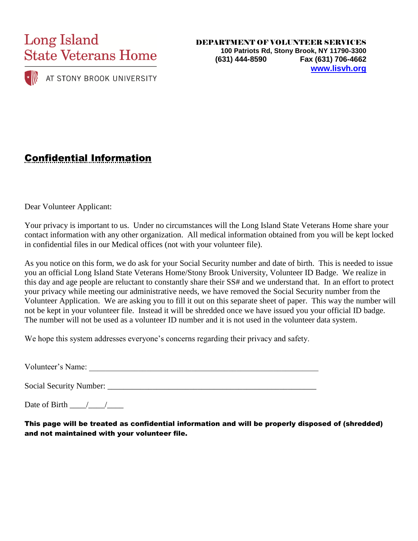

AT STONY BROOK UNIVERSITY

DEPARTMENT OF VOLUNTEER SERVICES **100 Patriots Rd, Stony Brook, NY 11790-3300 (631) 444-8590 Fax (631) 706-4662 [www.lisvh.org](http://www.listateveteranshome.org/)**

# Confidential Information

Dear Volunteer Applicant:

Your privacy is important to us. Under no circumstances will the Long Island State Veterans Home share your contact information with any other organization. All medical information obtained from you will be kept locked in confidential files in our Medical offices (not with your volunteer file).

As you notice on this form, we do ask for your Social Security number and date of birth. This is needed to issue you an official Long Island State Veterans Home/Stony Brook University, Volunteer ID Badge. We realize in this day and age people are reluctant to constantly share their SS# and we understand that. In an effort to protect your privacy while meeting our administrative needs, we have removed the Social Security number from the Volunteer Application. We are asking you to fill it out on this separate sheet of paper. This way the number will not be kept in your volunteer file. Instead it will be shredded once we have issued you your official ID badge. The number will not be used as a volunteer ID number and it is not used in the volunteer data system.

We hope this system addresses everyone's concerns regarding their privacy and safety.

Volunteer's Name: \_\_\_\_\_\_\_\_\_\_\_\_\_\_\_\_\_\_\_\_\_\_\_\_\_\_\_\_\_\_\_\_\_\_\_\_\_\_\_\_\_\_\_\_\_\_\_\_\_\_\_\_\_\_\_\_

Social Security Number: \_\_\_\_\_\_\_\_\_\_\_\_\_\_\_\_\_\_\_\_\_\_\_\_\_\_\_\_\_\_\_\_\_\_\_\_\_\_\_\_\_\_\_\_\_\_\_\_\_\_\_

Date of Birth  $\_\_\_\_\_\_\_\_\_\_\_\_\_\_\_\$ 

This page will be treated as confidential information and will be properly disposed of (shredded) and not maintained with your volunteer file.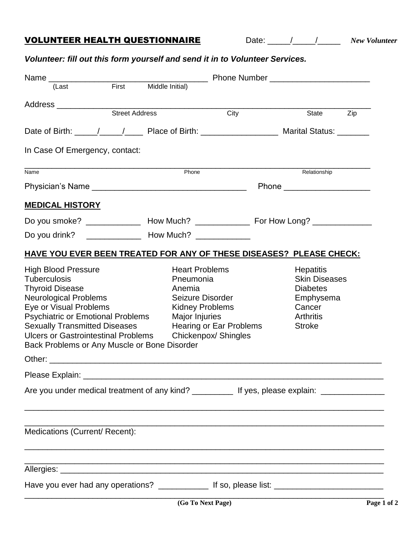## VOLUNTEER HEALTH QUESTIONNAIRE Date: \_\_\_\_\_/\_\_\_\_\_/\_\_\_\_\_ *New Volunteer*

## *Volunteer: fill out this form yourself and send it in to Volunteer Services.*

| First<br>(Last                                                                                                                                                                                                                                                                                                                                                                                                                                                                                                                                            | Middle Initial)                                                                                              |                                                 |                                                                                                                         |     |
|-----------------------------------------------------------------------------------------------------------------------------------------------------------------------------------------------------------------------------------------------------------------------------------------------------------------------------------------------------------------------------------------------------------------------------------------------------------------------------------------------------------------------------------------------------------|--------------------------------------------------------------------------------------------------------------|-------------------------------------------------|-------------------------------------------------------------------------------------------------------------------------|-----|
| Address _____________                                                                                                                                                                                                                                                                                                                                                                                                                                                                                                                                     |                                                                                                              |                                                 |                                                                                                                         |     |
| <b>Street Address</b>                                                                                                                                                                                                                                                                                                                                                                                                                                                                                                                                     |                                                                                                              | City                                            | State                                                                                                                   | Zip |
|                                                                                                                                                                                                                                                                                                                                                                                                                                                                                                                                                           |                                                                                                              |                                                 |                                                                                                                         |     |
| In Case Of Emergency, contact:                                                                                                                                                                                                                                                                                                                                                                                                                                                                                                                            |                                                                                                              |                                                 |                                                                                                                         |     |
| Name                                                                                                                                                                                                                                                                                                                                                                                                                                                                                                                                                      | Phone                                                                                                        |                                                 | Relationship                                                                                                            |     |
|                                                                                                                                                                                                                                                                                                                                                                                                                                                                                                                                                           |                                                                                                              |                                                 | Phone ________________________                                                                                          |     |
| <b>MEDICAL HISTORY</b>                                                                                                                                                                                                                                                                                                                                                                                                                                                                                                                                    |                                                                                                              |                                                 |                                                                                                                         |     |
| Do you smoke? _________________ How Much? _________________ For How Long? _____________                                                                                                                                                                                                                                                                                                                                                                                                                                                                   |                                                                                                              |                                                 |                                                                                                                         |     |
|                                                                                                                                                                                                                                                                                                                                                                                                                                                                                                                                                           |                                                                                                              |                                                 |                                                                                                                         |     |
| <b>HAVE YOU EVER BEEN TREATED FOR ANY OF THESE DISEASES? PLEASE CHECK:</b>                                                                                                                                                                                                                                                                                                                                                                                                                                                                                |                                                                                                              |                                                 |                                                                                                                         |     |
| <b>High Blood Pressure</b><br><b>Tuberculosis</b><br><b>Thyroid Disease</b><br><b>Neurological Problems</b><br>Eye or Visual Problems<br><b>Psychiatric or Emotional Problems</b><br><b>Sexually Transmitted Diseases</b><br><b>Ulcers or Gastrointestinal Problems</b><br>Back Problems or Any Muscle or Bone Disorder<br>Other: will be a contracted a contract of the contracted and contract of the contracted and contract of the contracted and contract of the contracted and contracted and contracted and contracted and contracted and contract | <b>Heart Problems</b><br>Pneumonia<br>Anemia<br>Seizure Disorder<br><b>Kidney Problems</b><br>Major Injuries | Hearing or Ear Problems<br>Chickenpox/ Shingles | <b>Hepatitis</b><br><b>Skin Diseases</b><br><b>Diabetes</b><br>Emphysema<br>Cancer<br><b>Arthritis</b><br><b>Stroke</b> |     |
| Please Explain:                                                                                                                                                                                                                                                                                                                                                                                                                                                                                                                                           |                                                                                                              |                                                 |                                                                                                                         |     |
|                                                                                                                                                                                                                                                                                                                                                                                                                                                                                                                                                           |                                                                                                              |                                                 |                                                                                                                         |     |
| Are you under medical treatment of any kind? ____________ If yes, please explain: _________________                                                                                                                                                                                                                                                                                                                                                                                                                                                       |                                                                                                              |                                                 |                                                                                                                         |     |
| Medications (Current/ Recent):                                                                                                                                                                                                                                                                                                                                                                                                                                                                                                                            |                                                                                                              |                                                 |                                                                                                                         |     |
|                                                                                                                                                                                                                                                                                                                                                                                                                                                                                                                                                           |                                                                                                              |                                                 |                                                                                                                         |     |
| Have you ever had any operations? _______________ If so, please list: ______________________________                                                                                                                                                                                                                                                                                                                                                                                                                                                      |                                                                                                              |                                                 |                                                                                                                         |     |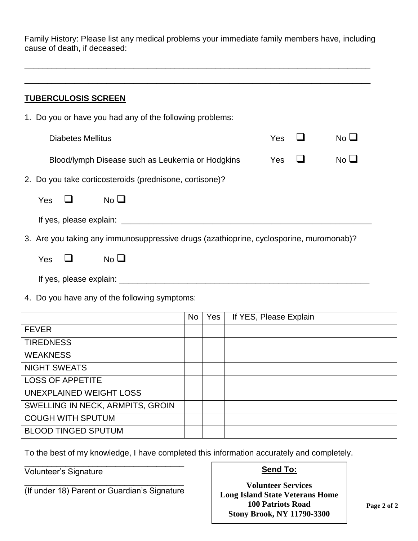Family History: Please list any medical problems your immediate family members have, including cause of death, if deceased:

\_\_\_\_\_\_\_\_\_\_\_\_\_\_\_\_\_\_\_\_\_\_\_\_\_\_\_\_\_\_\_\_\_\_\_\_\_\_\_\_\_\_\_\_\_\_\_\_\_\_\_\_\_\_\_\_\_\_\_\_\_\_\_\_\_\_\_\_\_\_\_\_\_\_\_\_

|    |                                                         | <b>TUBERCULOSIS SCREEN</b> |                                                                                        |            |  |                 |
|----|---------------------------------------------------------|----------------------------|----------------------------------------------------------------------------------------|------------|--|-----------------|
| 1. |                                                         |                            | Do you or have you had any of the following problems:                                  |            |  |                 |
|    |                                                         | <b>Diabetes Mellitus</b>   |                                                                                        | <b>Yes</b> |  | No $\Box$       |
|    |                                                         |                            | Blood/lymph Disease such as Leukemia or Hodgkins                                       | Yes        |  | No <sub>l</sub> |
|    | 2. Do you take corticosteroids (prednisone, cortisone)? |                            |                                                                                        |            |  |                 |
|    | <b>Yes</b>                                              |                            | $No$ $\square$                                                                         |            |  |                 |
|    |                                                         |                            | If yes, please explain: __________                                                     |            |  |                 |
|    |                                                         |                            | 3. Are you taking any immunosuppressive drugs (azathioprine, cyclosporine, muromonab)? |            |  |                 |
|    | Yes                                                     |                            | No L                                                                                   |            |  |                 |

If yes, please explain: \_\_\_\_\_\_\_\_\_\_\_\_\_\_\_\_\_\_\_\_\_\_\_\_\_\_\_\_\_\_\_\_\_\_\_\_\_\_\_\_\_\_\_\_\_\_\_\_\_\_\_\_\_\_\_

4. Do you have any of the following symptoms:

|                                  | <b>No</b> | Yes | If YES, Please Explain |
|----------------------------------|-----------|-----|------------------------|
| <b>FEVER</b>                     |           |     |                        |
| <b>TIREDNESS</b>                 |           |     |                        |
| <b>WEAKNESS</b>                  |           |     |                        |
| <b>NIGHT SWEATS</b>              |           |     |                        |
| <b>LOSS OF APPETITE</b>          |           |     |                        |
| UNEXPLAINED WEIGHT LOSS          |           |     |                        |
| SWELLING IN NECK, ARMPITS, GROIN |           |     |                        |
| <b>COUGH WITH SPUTUM</b>         |           |     |                        |
| <b>BLOOD TINGED SPUTUM</b>       |           |     |                        |

To the best of my knowledge, I have completed this information accurately and completely.

Volunteer's Signature

### **Send To:**

**Volunteer Services Long Island State Veterans Home 100 Patriots Road Stony Brook, NY 11790-3300**

\_\_\_\_\_\_\_\_\_\_\_\_\_\_\_\_\_\_\_\_\_\_\_\_\_\_\_\_\_\_\_\_\_\_\_ (If under 18) Parent or Guardian's Signature

\_\_\_\_\_\_\_\_\_\_\_\_\_\_\_\_\_\_\_\_\_\_\_\_\_\_\_\_\_\_\_\_\_\_\_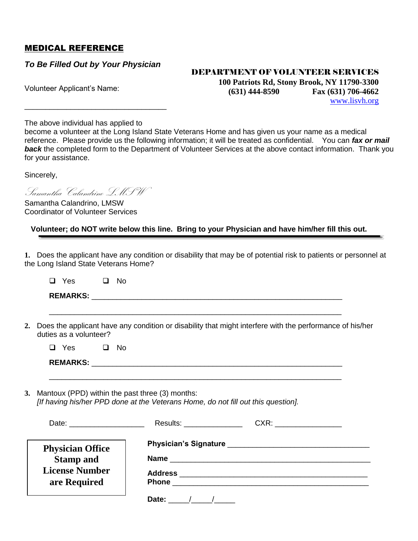### MEDICAL REFERENCE

*To Be Filled Out by Your Physician* 

\_\_\_\_\_\_\_\_\_\_\_\_\_\_\_\_\_\_\_\_\_\_\_\_\_\_\_\_\_\_\_\_\_\_

#### DEPARTMENT OF VOLUNTEER SERVICES

Volunteer Applicant's Name:

**100 Patriots Rd, Stony Brook, NY 11790-3300 (631) 444-8590 Fax (631) 706-4662** <www.lisvh.org>

The above individual has applied to

become a volunteer at the Long Island State Veterans Home and has given us your name as a medical reference. Please provide us the following information; it will be treated as confidential. You can *fax or mail*  **back** the completed form to the Department of Volunteer Services at the above contact information. Thank you for your assistance.

Sincerely,

Samantha Calandrino LMSW

Samantha Calandrino, LMSW Coordinator of Volunteer Services

 **Volunteer; do NOT write below this line. Bring to your Physician and have him/her fill this out.**

**1.** Does the applicant have any condition or disability that may be of potential risk to patients or personnel at the Long Island State Veterans Home?

| Yes             | No |
|-----------------|----|
| <b>REMARKS:</b> |    |

**2.** Does the applicant have any condition or disability that might interfere with the performance of his/her duties as a volunteer?

\_\_\_\_\_\_\_\_\_\_\_\_\_\_\_\_\_\_\_\_\_\_\_\_\_\_\_\_\_\_\_\_\_\_\_\_\_\_\_\_\_\_\_\_\_\_\_\_\_\_\_\_\_\_\_\_\_\_\_\_\_\_\_\_\_\_\_\_\_\_

\_\_\_\_\_\_\_\_\_\_\_\_\_\_\_\_\_\_\_\_\_\_\_\_\_\_\_\_\_\_\_\_\_\_\_\_\_\_\_\_\_\_\_\_\_\_\_\_\_\_\_\_\_\_\_\_\_\_\_\_\_\_\_\_\_\_\_\_\_\_

| $\Box$ Yes |  | $\Box$ No |
|------------|--|-----------|
|------------|--|-----------|

| <b>REMARKS:</b> |
|-----------------|
|                 |

**3.** Mantoux (PPD) within the past three (3) months: *[If having his/her PPD done at the Veterans Home, do not fill out this question].*

|                                                                                      | Results: _______________                                          |
|--------------------------------------------------------------------------------------|-------------------------------------------------------------------|
| <b>Physician Office</b><br><b>Stamp and</b><br><b>License Number</b><br>are Required | Address ____________________________<br><b>Phone <i>Phone</i></b> |
|                                                                                      | Date:<br>$\sqrt{1}$                                               |